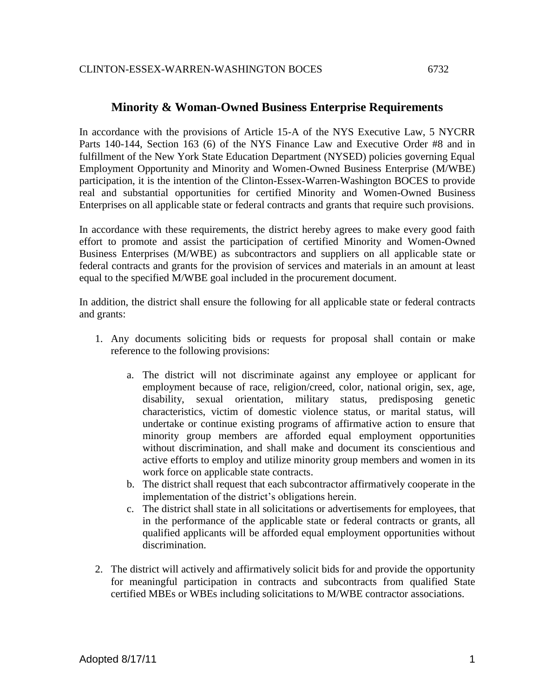## **Minority & Woman-Owned Business Enterprise Requirements**

In accordance with the provisions of Article 15-A of the NYS Executive Law, 5 NYCRR Parts 140-144, Section 163 (6) of the NYS Finance Law and Executive Order #8 and in fulfillment of the New York State Education Department (NYSED) policies governing Equal Employment Opportunity and Minority and Women-Owned Business Enterprise (M/WBE) participation, it is the intention of the Clinton-Essex-Warren-Washington BOCES to provide real and substantial opportunities for certified Minority and Women-Owned Business Enterprises on all applicable state or federal contracts and grants that require such provisions.

In accordance with these requirements, the district hereby agrees to make every good faith effort to promote and assist the participation of certified Minority and Women-Owned Business Enterprises (M/WBE) as subcontractors and suppliers on all applicable state or federal contracts and grants for the provision of services and materials in an amount at least equal to the specified M/WBE goal included in the procurement document.

In addition, the district shall ensure the following for all applicable state or federal contracts and grants:

- 1. Any documents soliciting bids or requests for proposal shall contain or make reference to the following provisions:
	- a. The district will not discriminate against any employee or applicant for employment because of race, religion/creed, color, national origin, sex, age, disability, sexual orientation, military status, predisposing genetic characteristics, victim of domestic violence status, or marital status, will undertake or continue existing programs of affirmative action to ensure that minority group members are afforded equal employment opportunities without discrimination, and shall make and document its conscientious and active efforts to employ and utilize minority group members and women in its work force on applicable state contracts.
	- b. The district shall request that each subcontractor affirmatively cooperate in the implementation of the district's obligations herein.
	- c. The district shall state in all solicitations or advertisements for employees, that in the performance of the applicable state or federal contracts or grants, all qualified applicants will be afforded equal employment opportunities without discrimination.
- 2. The district will actively and affirmatively solicit bids for and provide the opportunity for meaningful participation in contracts and subcontracts from qualified State certified MBEs or WBEs including solicitations to M/WBE contractor associations.